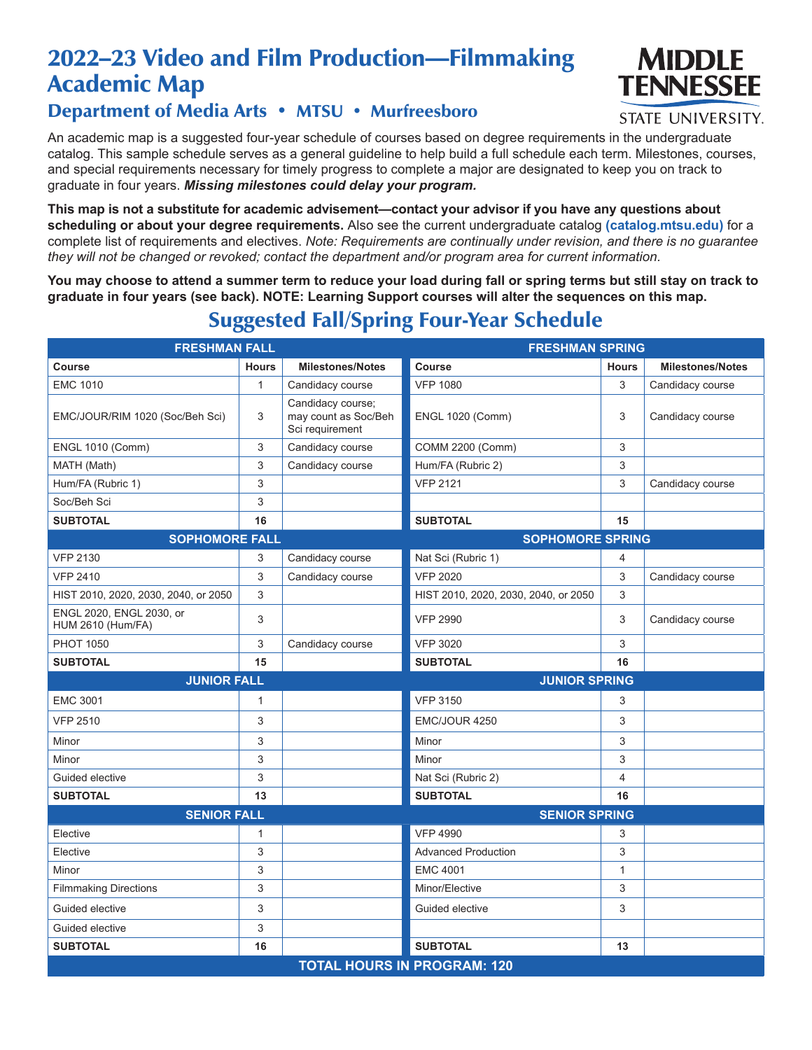# 2022–23 Video and Film Production—Filmmaking Academic Map



#### **STATE UNIVERSITY.**

### Department of Media Arts • MTSU • Murfreesboro

An academic map is a suggested four-year schedule of courses based on degree requirements in the undergraduate catalog. This sample schedule serves as a general guideline to help build a full schedule each term. Milestones, courses, and special requirements necessary for timely progress to complete a major are designated to keep you on track to graduate in four years. *Missing milestones could delay your program.*

**This map is not a substitute for academic advisement—contact your advisor if you have any questions about scheduling or about your degree requirements.** Also see the current undergraduate catalog **(catalog.mtsu.edu)** for a complete list of requirements and electives. *Note: Requirements are continually under revision, and there is no guarantee they will not be changed or revoked; contact the department and/or program area for current information.*

**You may choose to attend a summer term to reduce your load during fall or spring terms but still stay on track to graduate in four years (see back). NOTE: Learning Support courses will alter the sequences on this map.**

| <b>FRESHMAN FALL</b>                                 |              |                                                              | <b>FRESHMAN SPRING</b>               |              |                         |  |  |  |
|------------------------------------------------------|--------------|--------------------------------------------------------------|--------------------------------------|--------------|-------------------------|--|--|--|
| Course                                               | <b>Hours</b> | <b>Milestones/Notes</b>                                      | <b>Course</b>                        | <b>Hours</b> | <b>Milestones/Notes</b> |  |  |  |
| <b>EMC 1010</b>                                      | 1            | Candidacy course                                             | <b>VFP 1080</b>                      | 3            | Candidacy course        |  |  |  |
| EMC/JOUR/RIM 1020 (Soc/Beh Sci)                      | 3            | Candidacy course;<br>may count as Soc/Beh<br>Sci requirement | <b>ENGL 1020 (Comm)</b>              | 3            | Candidacy course        |  |  |  |
| <b>ENGL 1010 (Comm)</b>                              | 3            | Candidacy course                                             | <b>COMM 2200 (Comm)</b>              | 3            |                         |  |  |  |
| MATH (Math)                                          | 3            | Candidacy course                                             | Hum/FA (Rubric 2)                    | 3            |                         |  |  |  |
| Hum/FA (Rubric 1)                                    | 3            |                                                              | <b>VFP 2121</b>                      | 3            | Candidacy course        |  |  |  |
| Soc/Beh Sci                                          | 3            |                                                              |                                      |              |                         |  |  |  |
| <b>SUBTOTAL</b>                                      | 16           |                                                              | <b>SUBTOTAL</b>                      | 15           |                         |  |  |  |
| <b>SOPHOMORE FALL</b>                                |              |                                                              | <b>SOPHOMORE SPRING</b>              |              |                         |  |  |  |
| <b>VFP 2130</b>                                      | 3            | Candidacy course                                             | Nat Sci (Rubric 1)                   | 4            |                         |  |  |  |
| <b>VFP 2410</b>                                      | 3            | Candidacy course                                             | <b>VFP 2020</b>                      | 3            | Candidacy course        |  |  |  |
| HIST 2010, 2020, 2030, 2040, or 2050                 | 3            |                                                              | HIST 2010, 2020, 2030, 2040, or 2050 | 3            |                         |  |  |  |
| ENGL 2020, ENGL 2030, or<br><b>HUM 2610 (Hum/FA)</b> | 3            |                                                              | <b>VFP 2990</b>                      | 3            | Candidacy course        |  |  |  |
| <b>PHOT 1050</b>                                     | 3            | Candidacy course                                             | <b>VFP 3020</b>                      | 3            |                         |  |  |  |
| <b>SUBTOTAL</b>                                      | 15           |                                                              | <b>SUBTOTAL</b>                      | 16           |                         |  |  |  |
| <b>JUNIOR FALL</b>                                   |              |                                                              | <b>JUNIOR SPRING</b>                 |              |                         |  |  |  |
| <b>EMC 3001</b>                                      | 1            |                                                              | <b>VFP 3150</b>                      | 3            |                         |  |  |  |
| <b>VFP 2510</b>                                      | 3            |                                                              | EMC/JOUR 4250                        | 3            |                         |  |  |  |
| Minor                                                | 3            |                                                              | Minor                                | 3            |                         |  |  |  |
| Minor                                                | 3            |                                                              | Minor                                | 3            |                         |  |  |  |
| Guided elective                                      | 3            |                                                              | Nat Sci (Rubric 2)                   | 4            |                         |  |  |  |
| <b>SUBTOTAL</b>                                      | 13           |                                                              | <b>SUBTOTAL</b>                      | 16           |                         |  |  |  |
| <b>SENIOR FALL</b>                                   |              |                                                              | <b>SENIOR SPRING</b>                 |              |                         |  |  |  |
| Elective                                             | 1            |                                                              | <b>VFP 4990</b>                      | 3            |                         |  |  |  |
| Elective                                             | 3            |                                                              | <b>Advanced Production</b>           | 3            |                         |  |  |  |
| Minor                                                | 3            |                                                              | <b>EMC 4001</b>                      | 1            |                         |  |  |  |
| <b>Filmmaking Directions</b>                         | 3            |                                                              | Minor/Elective                       | 3            |                         |  |  |  |
| Guided elective                                      | 3            |                                                              | Guided elective                      | 3            |                         |  |  |  |
| Guided elective                                      | 3            |                                                              |                                      |              |                         |  |  |  |
| <b>SUBTOTAL</b>                                      | 16           |                                                              | <b>SUBTOTAL</b>                      | 13           |                         |  |  |  |
| <b>TOTAL HOURS IN PROGRAM: 120</b>                   |              |                                                              |                                      |              |                         |  |  |  |

## Suggested Fall/Spring Four-Year Schedule